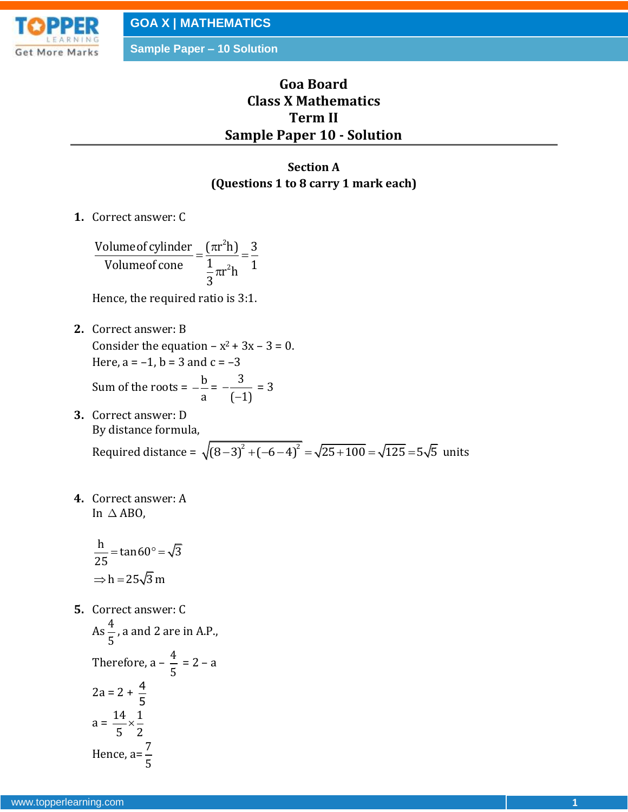More Marks

**GOA X | MATHEMATICS**

**Sample Paper – 10 Solution**

# **Goa Board Class X Mathematics Term II Sample Paper 10 - Solution**

## **Section A (Questions 1 to 8 carry 1 mark each)**

**1.** Correct answer: C

2 2 Volume of cylinder  $\frac{1}{2}$   $\frac{\pi r^2 h}{\pi}$   $\frac{3}{4}$ Volume of cone  $=$   $\frac{(\pi r \ln 1)}{\frac{1}{3} \pi r^2 h} = \frac{3}{1}$  $=\frac{(\pi r^2 h)}{1} = \frac{3}{1}$  $\pi$ 

Hence, the required ratio is 3:1.

**2.** Correct answer: B Consider the equation  $-x^2 + 3x - 3 = 0$ . Here,  $a = -1$ ,  $b = 3$  and  $c = -3$ 

Sum of the roots = 
$$
-\frac{b}{a} = -\frac{3}{(-1)} = 3
$$

- **3.** Correct answer: D By distance formula, By distance formula,<br>Required distance =  $\sqrt{(8-3)^2 + (-6-4)^2} = \sqrt{25+100} = \sqrt{125} = 5\sqrt{5}$  units
- **4.** Correct answer: A In  $\triangle$  ABO,

$$
\frac{h}{25} = \tan 60^\circ = \sqrt{3}
$$
  
\n
$$
\Rightarrow h = 25\sqrt{3} m
$$

**5.** Correct answer: C

As 
$$
\frac{4}{5}
$$
, a and 2 are in A.P.,  
\nTherefore,  $a - \frac{4}{5} = 2 - a$   
\n $2a = 2 + \frac{4}{5}$   
\n $a = \frac{14}{5} \times \frac{1}{2}$   
\nHence,  $a = \frac{7}{5}$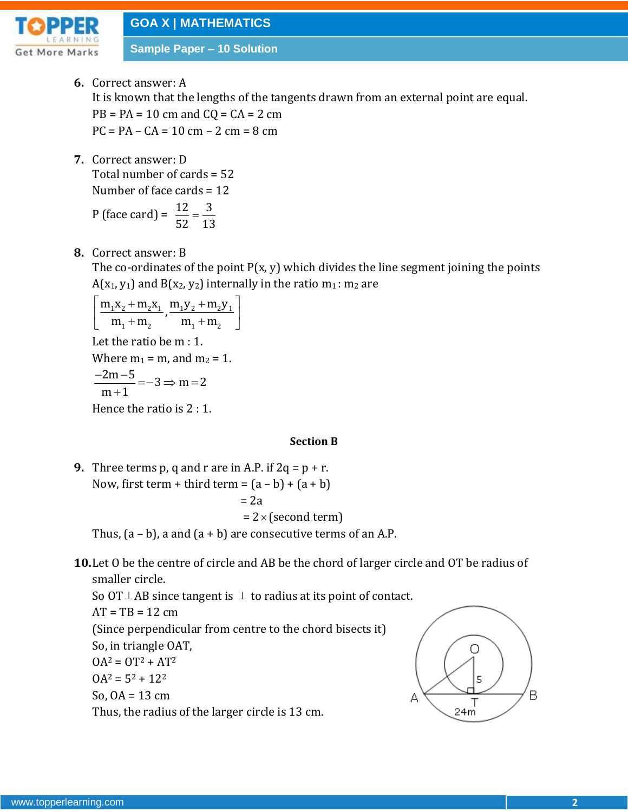

**Sample Paper – 10 Solution**

- **6.** Correct answer: A It is known that the lengths of the tangents drawn from an external point are equal.  $PB = PA = 10$  cm and  $CQ = CA = 2$  cm  $PC = PA - CA = 10 cm - 2 cm = 8 cm$
- **7.** Correct answer: D Total number of cards = 52 Number of face cards = 12

P (face card) = 
$$
\frac{12}{52} = \frac{3}{13}
$$

**8.** Correct answer: B

The co-ordinates of the point  $P(x, y)$  which divides the line segment joining the points  $A(x_1, y_1)$  and  $B(x_2, y_2)$  internally in the ratio  $m_1$ :  $m_2$  are

$$
\left[\frac{m_1x_2 + m_2x_1}{m_1 + m_2}, \frac{m_1y_2 + m_2y_1}{m_1 + m_2}\right]
$$

Let the ratio be m : 1.

Where  $m_1 = m$ , and  $m_2 = 1$ .

$$
\frac{-2m-5}{m+1} = -3 \Rightarrow m = 2
$$

Hence the ratio is 2 : 1.

#### **Section B**

**9.** Three terms p, q and r are in A.P. if  $2q = p + r$ . Now, first term + third term =  $(a - b) + (a + b)$  $= 2a$  $= 2 \times (second term)$ 

Thus,  $(a - b)$ , a and  $(a + b)$  are consecutive terms of an A.P.

**10.**Let O be the centre of circle and AB be the chord of larger circle and OT be radius of smaller circle.

So OT  $\perp$  AB since tangent is  $\perp$  to radius at its point of contact.  $AT = TB = 12 cm$ (Since perpendicular from centre to the chord bisects it) So, in triangle OAT,  $OA^2 = OT^2 + AT^2$  $OA^2 = 5^2 + 12^2$ So,  $OA = 13$  cm Thus, the radius of the larger circle is 13 cm.

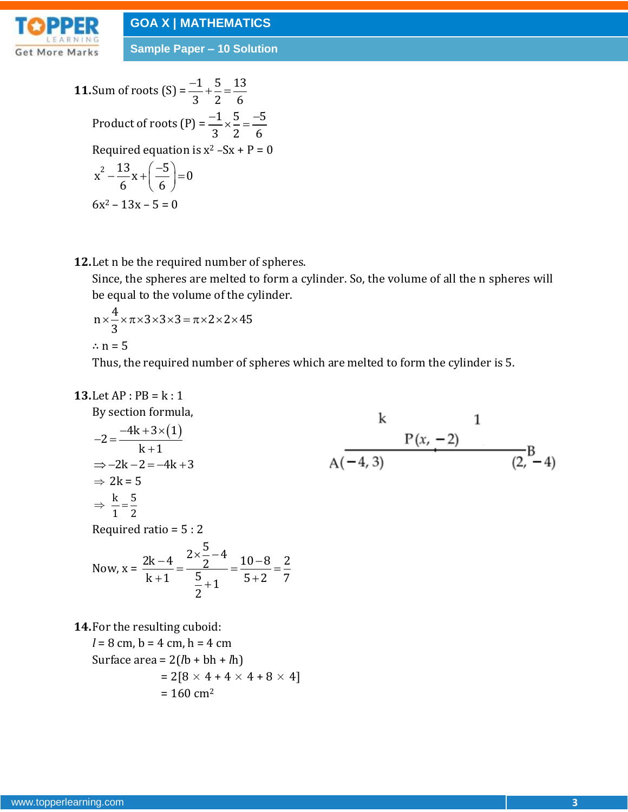

**Sample Paper – 10 Solution**

**11. Sum of roots (S)** = 
$$
\frac{-1}{3} + \frac{5}{2} = \frac{13}{6}
$$
  
\nProduct of roots (P) =  $\frac{-1}{3} \times \frac{5}{2} = \frac{-5}{6}$   
\nRequired equation is x<sup>2</sup> - Sx + P = 0  
\nx<sup>2</sup> -  $\frac{13}{6}$ x +  $\left(\frac{-5}{6}\right)$  = 0  
\n6x<sup>2</sup> - 13x - 5 = 0

**12.**Let n be the required number of spheres.

Since, the spheres are melted to form a cylinder. So, the volume of all the n spheres will be equal to the volume of the cylinder.

$$
n \times \frac{4}{3} \times \pi \times 3 \times 3 \times 3 = \pi \times 2 \times 2 \times 45
$$
  
 
$$
\therefore n = 5
$$

Thus, the required number of spheres which are melted to form the cylinder is 5.

$$
13. Let AP : PB = k : 1
$$

By section formula,  
\n
$$
-2 = \frac{-4k + 3 \times (1)}{k + 1}
$$
\n
$$
\Rightarrow -2k - 2 = -4k + 3
$$
\n
$$
\Rightarrow 2k = 5
$$
\n
$$
\Rightarrow \frac{k}{1} = \frac{5}{2}
$$
\nRequired ratio = 5 : 2  
\nNow,  $x = \frac{2k - 4}{k + 1} = \frac{2 \times \frac{5}{2} - 4}{\frac{5}{2} + 1} = \frac{10 - 8}{5 + 2} = \frac{2}{7}$   
\n14. For the resulting cuboid:

 $l = 8$  cm,  $b = 4$  cm,  $h = 4$  cm Surface area = 2(*l*b + bh + *l*h)  $= 2[8 \times 4 + 4 \times 4 + 8 \times 4]$  $= 160$  cm<sup>2</sup>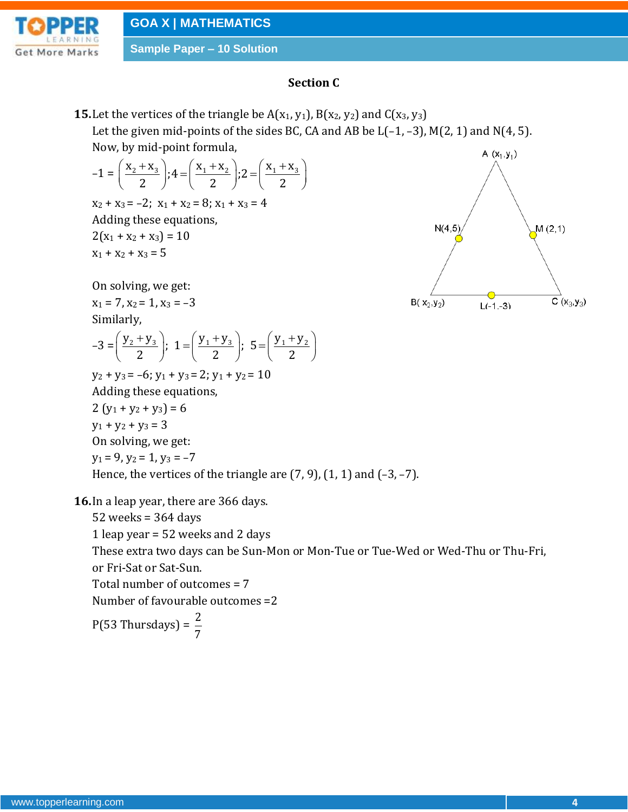

**Sample Paper – 10 Solution**

### **Section C**

**15.** Let the vertices of the triangle be  $A(x_1, y_1)$ ,  $B(x_2, y_2)$  and  $C(x_3, y_3)$ Let the given mid-points of the sides BC, CA and AB be  $L(-1, -3)$ , M(2, 1) and N(4, 5).

Now, by mid-point formula,  
\n
$$
-1 = \left(\frac{x_2 + x_3}{2}\right); 4 = \left(\frac{x_1 + x_2}{2}\right); 2 = \left(\frac{x_1 + x_3}{2}\right)
$$
\n
$$
x_2 + x_3 = -2; x_1 + x_2 = 8; x_1 + x_3 = 4
$$
\nAdding these equations,  
\n
$$
2(x_1 + x_2 + x_3) = 10
$$
\n
$$
x_1 + x_2 + x_3 = 5
$$

On solving, we get:

$$
x_1 = 7, x_2 = 1, x_3 = -3
$$
  
Similarly,

Similarly,  
-3 = 
$$
\left(\frac{y_2 + y_3}{2}\right)
$$
; 1 =  $\left(\frac{y_1 + y_3}{2}\right)$ ; 5 =  $\left(\frac{y_1 + y_2}{2}\right)$ 

 $y_2 + y_3 = -6$ ;  $y_1 + y_3 = 2$ ;  $y_1 + y_2 = 10$ Adding these equations,

2  $(y_1 + y_2 + y_3) = 6$  $y_1 + y_2 + y_3 = 3$ On solving, we get:  $y_1 = 9$ ,  $y_2 = 1$ ,  $y_3 = -7$ Hence, the vertices of the triangle are  $(7, 9)$ ,  $(1, 1)$  and  $(-3, -7)$ .

**16.**In a leap year, there are 366 days.

7

52 weeks = 364 days 1 leap year = 52 weeks and 2 days These extra two days can be Sun-Mon or Mon-Tue or Tue-Wed or Wed-Thu or Thu-Fri, or Fri-Sat or Sat-Sun. Total number of outcomes = 7 Number of favourable outcomes =2  $P(53)$  Thursdays) =  $\frac{2}{5}$ 

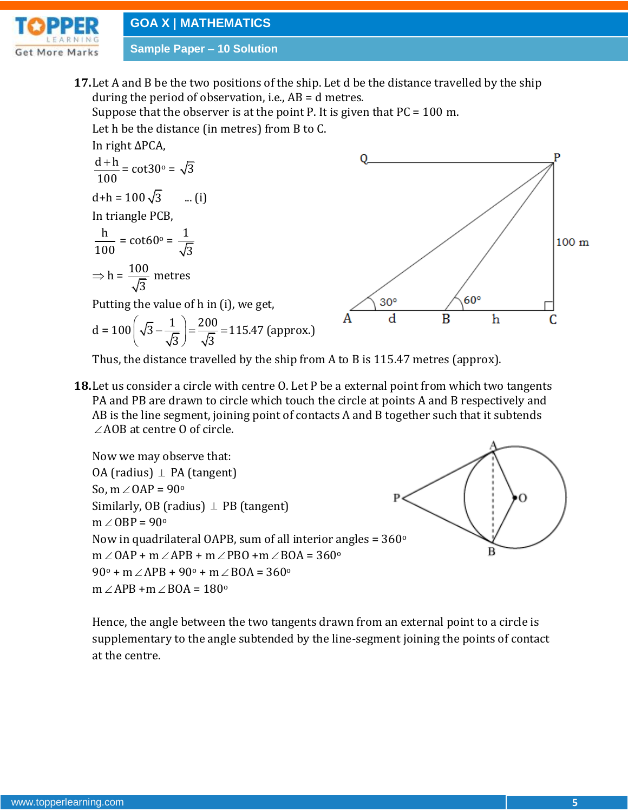

**Sample Paper – 10 Solution**

**17.**Let A and B be the two positions of the ship. Let d be the distance travelled by the ship during the period of observation, i.e.,  $AB = d$  metres.

Suppose that the observer is at the point P. It is given that  $PC = 100$  m. Let h be the distance (in metres) from B to C.

In right ∆PCA,  $d + h$  $\overline{200}$ 

$$
\frac{d+h}{100} = \cot 30^\circ = \sqrt{3}
$$
  
d+h = 100\sqrt{3} ... (i)  
In triangle PCB,  
h = cot(0) = 1

$$
\frac{1}{100} = \cot 60^\circ = \frac{1}{\sqrt{3}}
$$

$$
\Rightarrow h = \frac{100}{\sqrt{3}} \text{ metres}
$$

Putting the value of h in (i), we get,

$$
d = 100 \left( \sqrt{3} - \frac{1}{\sqrt{3}} \right) = \frac{200}{\sqrt{3}} = 115.47 \text{ (approx.)}
$$



Thus, the distance travelled by the ship from A to B is 115.47 metres (approx).

**18.**Let us consider a circle with centre O. Let P be a external point from which two tangents PA and PB are drawn to circle which touch the circle at points A and B respectively and AB is the line segment, joining point of contacts A and B together such that it subtends  $\angle$  AOB at centre O of circle.



Hence, the angle between the two tangents drawn from an external point to a circle is supplementary to the angle subtended by the line-segment joining the points of contact at the centre.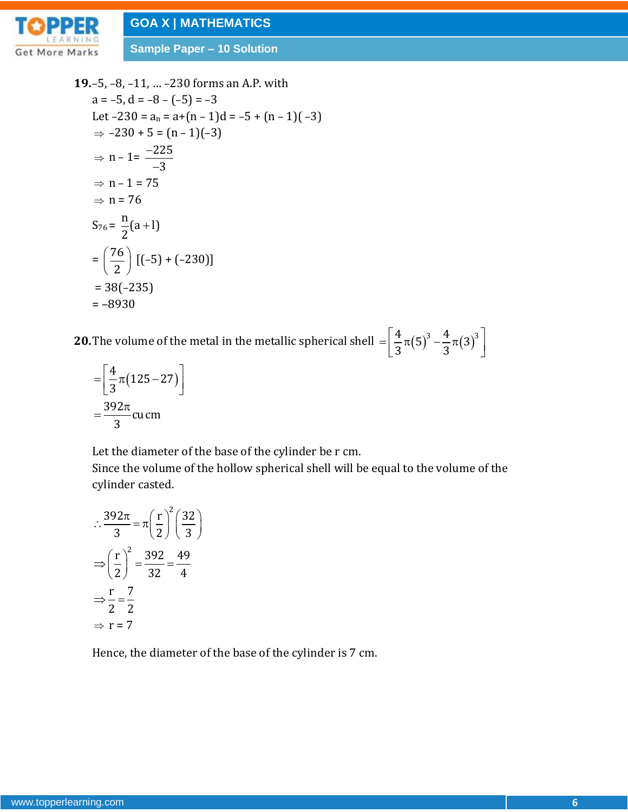

**Sample Paper – 10 Solution**

**19.**–5, –8, –11, … –230 forms an A.P. with  $a = -5$ ,  $d = -8 - (-5) = -3$ Let  $-230 = a_n = a+(n-1)d = -5 + (n-1)(-3)$  $\Rightarrow -230 + 5 = (n - 1)(-3)$  $\Rightarrow$  n – 1=  $\frac{-225}{4}$ 3 - $\overline{a}$  $\Rightarrow$  n - 1 = 75  $\Rightarrow$  n = 76  $S_{76} = \frac{n}{6}(a+1)$ 2  $\ddot{}$  $=\left(\frac{76}{4}\right)$  $\left(\frac{76}{2}\right)$  [(-5) + (-230)]  $= 38(-235)$ = –8930

**20.** The volume of the metal in the metallic spherical shell  $= \left[\frac{4}{2}\pi(5)^3 - \frac{4}{2}\pi(3)^3\right]$  $\frac{1}{3}$  $\pi(5) - \frac{1}{3}$  $=\left[\frac{4}{3}\pi(5)^3-\frac{4}{3}\pi(3)^3\right]$ 

$$
=\left[\frac{4}{3}\pi(125-27)\right]
$$

$$
=\frac{392\pi}{3}cu
$$
cm

Let the diameter of the base of the cylinder be r cm.

Since the volume of the hollow spherical shell will be equal to the volume of the cylinder casted.

$$
\therefore \frac{392\pi}{3} = \pi \left(\frac{r}{2}\right)^2 \left(\frac{32}{3}\right)
$$

$$
\Rightarrow \left(\frac{r}{2}\right)^2 = \frac{392}{32} = \frac{49}{4}
$$

$$
\Rightarrow \frac{r}{2} = \frac{7}{2}
$$

$$
\Rightarrow r = 7
$$

Hence, the diameter of the base of the cylinder is 7 cm.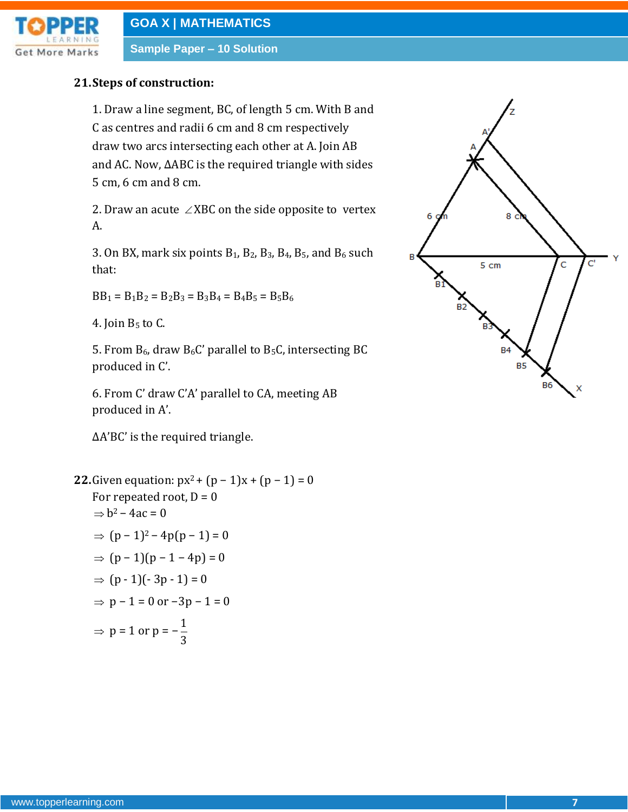

**Sample Paper – 10 Solution**

#### **21.Steps of construction:**

1. Draw a line segment, BC, of length 5 cm. With B and C as centres and radii 6 cm and 8 cm respectively draw two arcs intersecting each other at A. Join AB and AC. Now, ∆ABC is the required triangle with sides 5 cm, 6 cm and 8 cm.

2. Draw an acute  $\angle$ XBC on the side opposite to vertex A.

3. On BX, mark six points  $B_1$ ,  $B_2$ ,  $B_3$ ,  $B_4$ ,  $B_5$ , and  $B_6$  such that:

 $BB_1 = B_1B_2 = B_2B_3 = B_3B_4 = B_4B_5 = B_5B_6$ 

4. Join  $B_5$  to C.

5. From  $B_6$ , draw  $B_6C'$  parallel to  $B_5C$ , intersecting BC produced in C'.

6. From C' draw C'A' parallel to CA, meeting AB produced in A'.

∆A'BC' is the required triangle.

**22.**Given equation:  $px^2 + (p - 1)x + (p - 1) = 0$ For repeated root,  $D = 0$  $\Rightarrow$  b<sup>2</sup> – 4ac = 0  $\Rightarrow$  (p – 1)<sup>2</sup> – 4p(p – 1) = 0  $\Rightarrow$  (p – 1)(p – 1 – 4p) = 0  $\Rightarrow$  (p - 1)(-3p - 1) = 0  $\Rightarrow$  p – 1 = 0 or –3p – 1 = 0  $\Rightarrow$  p = 1 or p =  $-\frac{1}{2}$ 3

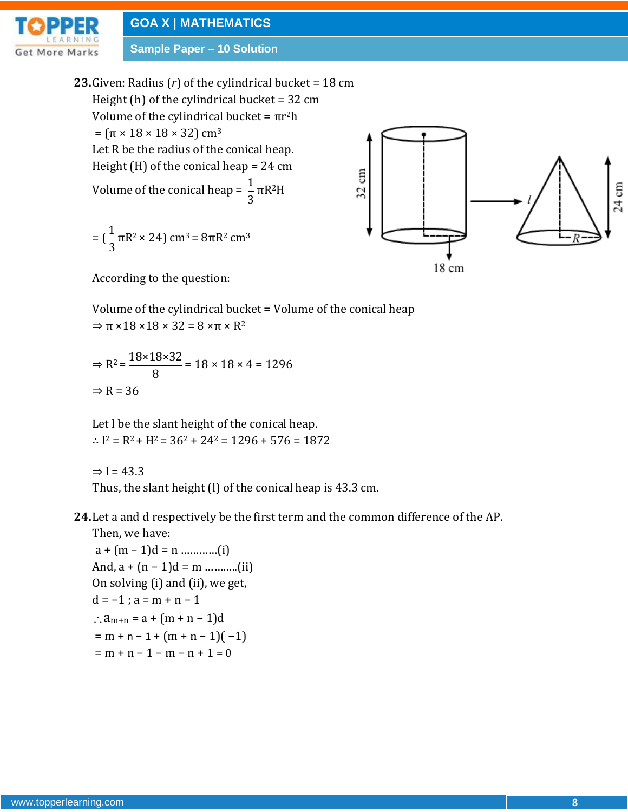**Sample Paper – 10 Solution**

**23.**Given: Radius (*r*) of the cylindrical bucket = 18 cm Height (h) of the cylindrical bucket =  $32 \text{ cm}$ Volume of the cylindrical bucket =  $\pi r^2 h$  $= (\pi \times 18 \times 18 \times 32) \text{ cm}^3$ Let R be the radius of the conical heap. Height (H) of the conical heap = 24 cm **E** Volume of the conical heap =  $\frac{1}{2}$  $\tilde{\mathcal{Z}}$ πR2H 3  $= (\frac{1}{2})$  $\pi R^2 \times 24$ ) cm<sup>3</sup> =  $8\pi R^2$  cm<sup>3</sup>



According to the question:

Volume of the cylindrical bucket = Volume of the conical heap  $\Rightarrow \pi \times 18 \times 18 \times 32 = 8 \times \pi \times R^2$ 

 $\Rightarrow R^2 = \frac{18 \times 18 \times 32}{8}$ 8  $= 18 \times 18 \times 4 = 1296$  $\Rightarrow$  R = 36

Let l be the slant height of the conical heap.  $\therefore$   $1^2 = R^2 + H^2 = 36^2 + 24^2 = 1296 + 576 = 1872$ 

 $\Rightarrow$  l = 43.3

3

Thus, the slant height (l) of the conical heap is 43.3 cm.

**24.**Let a and d respectively be the first term and the common difference of the AP. Then, we have:

 a + (m – 1)d = n …………(i) And,  $a + (n - 1)d = m$  ............(ii) On solving (i) and (ii), we get,  $d = -1$ ;  $a = m + n - 1$  $\therefore$  a<sub>m+n</sub> = a + (m + n - 1)d  $=$  m + n – 1 + (m + n – 1)( –1)  $= m + n - 1 - m - n + 1 = 0$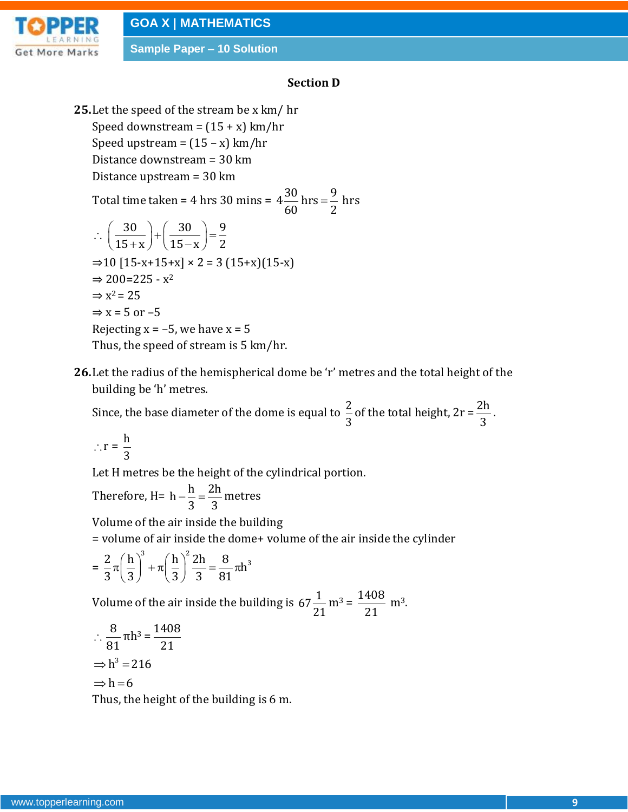

**Sample Paper – 10 Solution**

#### **Section D**

- **25.**Let the speed of the stream be x km/ hr Speed downstream =  $(15 + x)$  km/hr Speed upstream =  $(15 - x)$  km/hr Distance downstream = 30 km Distance upstream = 30 km Total time taken = 4 hrs 30 mins =  $4\frac{30}{50}$  hrs =  $\frac{9}{8}$  $60$   $2$  $=\frac{3}{5}$  hrs  $\therefore \left( \frac{30}{\cdots} \right) + \left( \frac{30}{\cdots} \right) = \frac{9}{5}$  $\frac{1}{15+x}$  +  $\frac{1}{15-x}$  =  $\frac{1}{2}$  $\left(\frac{30}{15+x}\right) + \left(\frac{30}{15-x}\right) = \frac{9}{2}$  $\Rightarrow$ 10 [15-x+15+x] × 2 = 3 (15+x)(15-x)  $\Rightarrow$  200=225 -  $x^2$  $\Rightarrow$  x<sup>2</sup> = 25  $\Rightarrow$  x = 5 or -5 Rejecting  $x = -5$ , we have  $x = 5$ Thus, the speed of stream is 5 km/hr.
- **26.**Let the radius of the hemispherical dome be 'r' metres and the total height of the building be 'h' metres.

Since, the base diameter of the dome is equal to  $\frac{2}{5}$ 3 of the total height,  $2r = \frac{2h}{r}$ 3 .

$$
\therefore r = \frac{h}{3}
$$

Let H metres be the height of the cylindrical portion.

Therefore, H=  $h - \frac{h}{\epsilon} = \frac{2h}{\epsilon}$ 3 3  $-\frac{\pi}{2}=\frac{2\pi}{2}$  metres

Volume of the air inside the building

= volume of air inside the dome+ volume of the air inside the cylinder

$$
= \frac{2}{3}\pi \left(\frac{h}{3}\right)^3 + \pi \left(\frac{h}{3}\right)^2 \frac{2h}{3} = \frac{8}{81}\pi h^3
$$

Volume of the air inside the building is 67 $\frac{1}{2}$ 21  $m^3 = \frac{1408}{31}$ 21  $m<sup>3</sup>$ .

$$
\therefore \frac{8}{81} \pi h^3 = \frac{1408}{21}
$$

$$
\Rightarrow h^3 = 216
$$

$$
\Rightarrow h = 6
$$

Thus, the height of the building is 6 m.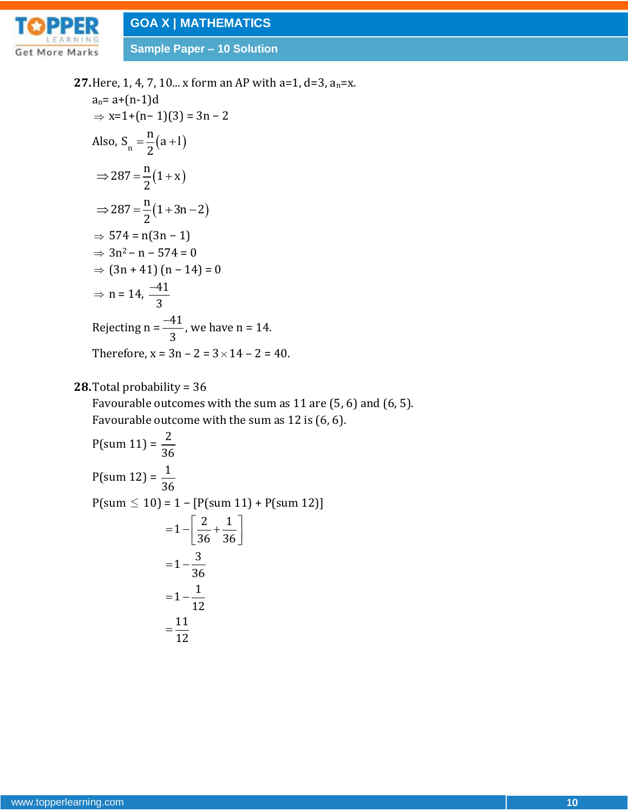

**Sample Paper – 10 Solution**

**27.**Here, 1, 4, 7, 10... x form an AP with a=1, d=3, an=x.  $a_n = a + (n-1)d$  $\Rightarrow$  x=1+(n- 1)(3) = 3n - 2 Also,  $S_n = \frac{n}{2}(a+1)$  $S_n = \frac{n}{2}(a+1)$ 2  $=\frac{11}{2}(a+1)$  $(1+x)$  $(1+3n-2)$  $287 = \frac{\text{n}}{2}(1 + x)$ 2  $287 = \frac{n}{2}(1 + 3n - 2)$ 2  $\Rightarrow$  287 =  $\frac{n}{2}(1+x)$  $\Rightarrow 287 = \frac{\text{n}}{\text{2}}(1+3\text{n}-2)$  $\Rightarrow$  574 = n(3n – 1)  $\Rightarrow$  3n<sup>2</sup> – n – 574 = 0  $\Rightarrow$  (3n + 41) (n − 14) = 0  $\Rightarrow$  n = 14,  $\frac{-41}{1}$ 3  $\overline{a}$ Rejecting n =  $\frac{-41}{4}$ 3  $\frac{-41}{2}$ , we have n = 14. Therefore,  $x = 3n - 2 = 3 \times 14 - 2 = 40$ .

#### **28.**Total probability = 36

Favourable outcomes with the sum as 11 are (5, 6) and (6, 5). Favourable outcome with the sum as 12 is (6, 6).

$$
P(\text{sum } 11) = \frac{2}{36}
$$
  
\n
$$
P(\text{sum } 12) = \frac{1}{36}
$$
  
\n
$$
P(\text{sum } \le 10) = 1 - [P(\text{sum } 11) + P(\text{sum } 12)]
$$
  
\n
$$
= 1 - \left[\frac{2}{36} + \frac{1}{36}\right]
$$
  
\n
$$
= 1 - \frac{3}{36}
$$
  
\n
$$
= 1 - \frac{1}{12}
$$
  
\n
$$
= \frac{11}{12}
$$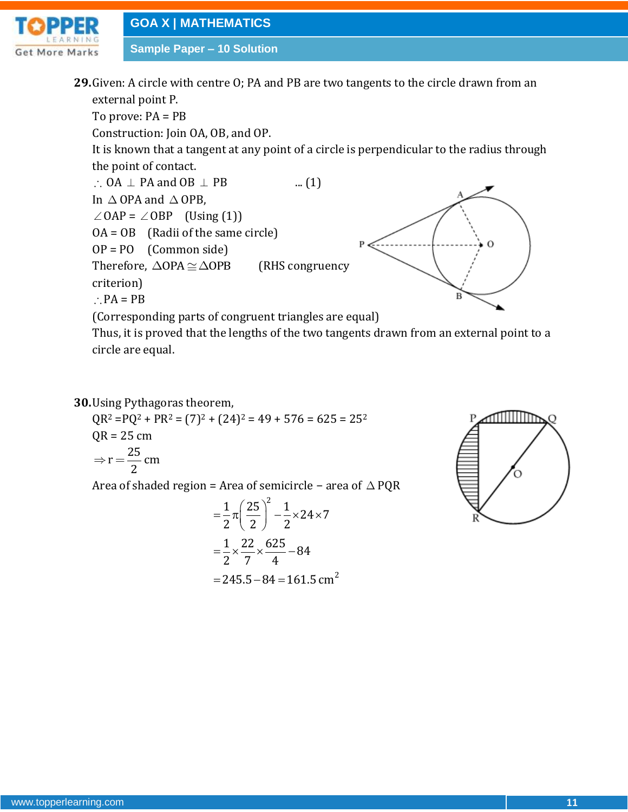

**Sample Paper – 10 Solution**

**29.**Given: A circle with centre O; PA and PB are two tangents to the circle drawn from an external point P.

To prove: PA = PB

Construction: Join OA, OB, and OP.

It is known that a tangent at any point of a circle is perpendicular to the radius through the point of contact.

 $\therefore$  OA  $\perp$  PA and OB  $\perp$  $\ldots$  (1) In  $\triangle$  OPA and  $\triangle$  OPB,  $\angle$  OAP =  $\angle$  OBP (Using (1)) OA = OB (Radii of the same circle) OP = PO (Common side) Therefore,  $\triangle$ OPA $\cong$  $\triangle$ OPB (RHS congruency criterion)  $\therefore$  PA = PB



(Corresponding parts of congruent triangles are equal)

Thus, it is proved that the lengths of the two tangents drawn from an external point to a circle are equal.

**30.**Using Pythagoras theorem,

 $QR<sup>2</sup> = PQ<sup>2</sup> + PR<sup>2</sup> = (7)<sup>2</sup> + (24)<sup>2</sup> = 49 + 576 = 625 = 25<sup>2</sup>$  $QR = 25$  cm  $r = \frac{25}{3}$  cm 2  $\Rightarrow$  r =

Area of shaded region = Area of semicircle − area of PQR

$$
= \frac{1}{2} \pi \left(\frac{25}{2}\right)^2 - \frac{1}{2} \times 24 \times 7
$$

$$
= \frac{1}{2} \times \frac{22}{7} \times \frac{625}{4} - 84
$$

$$
= 245.5 - 84 = 161.5
$$
 cm<sup>2</sup>

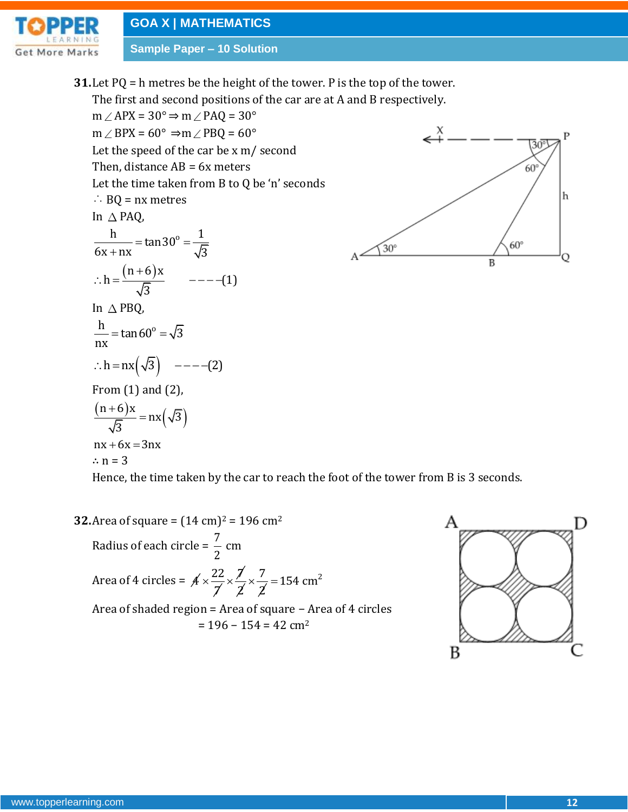

**Sample Paper – 10 Solution**

**31.**Let PQ = h metres be the height of the tower. P is the top of the tower.

The first and second positions of the car are at A and B respectively.

 $m \angle APX = 30^{\circ} \Rightarrow m \angle PAQ = 30^{\circ}$  $\overline{\mathcal{L}}^{\chi}$  $m \angle$  BPX = 60°  $\Rightarrow$   $m \angle$  PBQ = 60° 30 Let the speed of the car be x m/ second Then, distance  $AB = 6x$  meters  $60^\circ$ Let the time taken from B to Q be 'n' seconds  $\therefore$  BQ = nx metres In  $\triangle$  PAQ,  $\frac{h}{6x + nx} = \tan 30^\circ = \frac{1}{\sqrt{3}}$  $\frac{h}{1 + nx} = \tan 30^{\circ} = \frac{1}{\sqrt{3}}$  $60^{\circ}$  $\mathfrak{g}_0$  $\frac{1}{(n+6)x}$ B  $\therefore h = \frac{(n+6)x}{\sqrt{2}} \qquad ----(1)$  $h = \frac{(n+6)x}{\sqrt{2}}$  ----(1) 3 In  $\triangle$  PBQ,  $\frac{h}{m}$  = tan 60° =  $\sqrt{3}$  $=$  tan 60<sup>o</sup> =  $\sqrt{ }$ nx  $\therefore$  h = nx  $(\sqrt{3})$  ----(2) From (1) and (2),  $n+6$ )x  $\ddot{}$  $(n+6)$  $nx(\sqrt{3})$  $=$  $(\sqrt{3})$ 3  $nx + 6x = 3nx$ ∴  $n = 3$ Hence, the time taken by the car to reach the foot of the tower from B is 3 seconds.

**32.**Area of square =  $(14 \text{ cm})^2$  = 196 cm<sup>2</sup> Radius of each circle =  $\frac{7}{9}$ 2 cm Area of 4 circles =  $A \times \frac{22}{1}$ 7  $\times \frac{7}{7}$ 2  $\times \frac{7}{7}$ 2  $= 154$  cm<sup>2</sup> Area of shaded region = Area of square − Area of 4 circles  $= 196 - 154 = 42$  cm<sup>2</sup>



Ρ

h

Q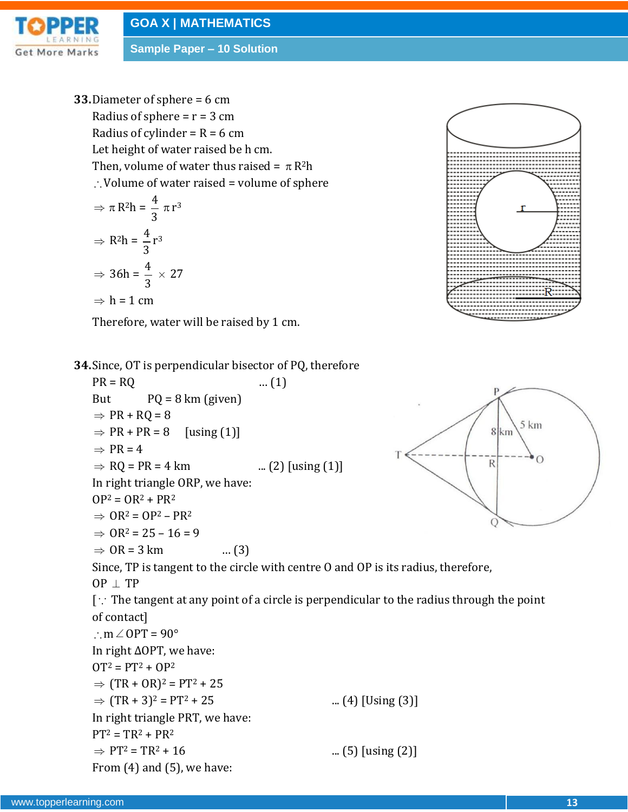

**Sample Paper – 10 Solution**

**33.**Diameter of sphere = 6 cm Radius of sphere =  $r = 3$  cm Radius of cylinder =  $R = 6$  cm Let height of water raised be h cm. Then, volume of water thus raised =  $\pi$  R<sup>2</sup>h  $\therefore$  Volume of water raised = volume of sphere

$$
\Rightarrow \pi R^2 h = \frac{4}{3} \pi r^3
$$

$$
\Rightarrow R^2 h = \frac{4}{3} r^3
$$

$$
\Rightarrow 36h = \frac{4}{3} \times 27
$$

$$
\Rightarrow h = 1 \text{ cm}
$$

Therefore, water will be raised by 1 cm.



 $5 km$ 

**34.**Since, OT is perpendicular bisector of PQ, therefore

PR = RQ ... (1)  
\nBut PQ = 8 km (given)  
\n⇒ PR + RQ = 8  
\n⇒ PR + PR = 8 [using (1)]  
\n⇒ PR = 4  
\n⇒ RQ = PR = 4 km ... (2) [using (1)]  
\nIn right triangle ORP, we have:  
\nOP<sup>2</sup> = OR<sup>2</sup> + PR<sup>2</sup>  
\n⇒ OR<sup>2</sup> = OP<sup>2</sup> – PR<sup>2</sup>  
\n⇒ OR = 3 km ... (3)  
\nSince, TP is tangent to the circle with centre 0 and OP is its radius, therefore,  
\nOP ± TP  
\n[∴ The tangent at any point of a circle is perpendicular to the radius through the point  
\nof contact]  
\n
$$
\therefore
$$
 m∠OPT = 90°  
\n $\therefore$  ln right  $\triangle$ OPT, we have:  
\nOT<sup>2</sup> = PT<sup>2</sup> + OP<sup>2</sup>  
\n⇒ (TR + OR)<sup>2</sup> = PT<sup>2</sup> + 25  
\n⇒ (TR + RP<sup>2</sup>)<sup>2</sup> = PT<sup>2</sup> + 25 ... (4) [Using (3)]  
\nIn right triangle PRT, we have:  
\nPT<sup>2</sup> = TR<sup>2</sup> + PR<sup>2</sup>  
\n⇒ PT<sup>2</sup> = TR<sup>2</sup> + 16 ... (5) [using (2)]  
\nFrom (4) and (5), we have: